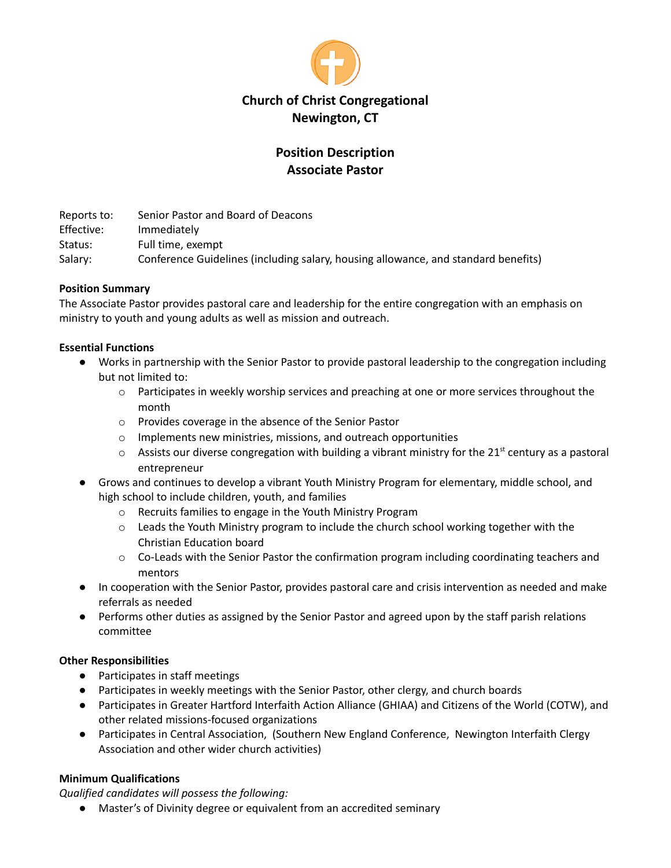

# **Position Description Associate Pastor**

Reports to: Senior Pastor and Board of Deacons Effective: Immediately Status: Full time, exempt Salary: Conference Guidelines (including salary, housing allowance, and standard benefits)

# **Position Summary**

The Associate Pastor provides pastoral care and leadership for the entire congregation with an emphasis on ministry to youth and young adults as well as mission and outreach.

### **Essential Functions**

- Works in partnership with the Senior Pastor to provide pastoral leadership to the congregation including but not limited to:
	- $\circ$  Participates in weekly worship services and preaching at one or more services throughout the month
	- o Provides coverage in the absence of the Senior Pastor
	- o Implements new ministries, missions, and outreach opportunities
	- $\circ$  Assists our diverse congregation with building a vibrant ministry for the 21<sup>st</sup> century as a pastoral entrepreneur
- Grows and continues to develop a vibrant Youth Ministry Program for elementary, middle school, and high school to include children, youth, and families
	- o Recruits families to engage in the Youth Ministry Program
	- $\circ$  Leads the Youth Ministry program to include the church school working together with the Christian Education board
	- $\circ$  Co-Leads with the Senior Pastor the confirmation program including coordinating teachers and mentors
- In cooperation with the Senior Pastor, provides pastoral care and crisis intervention as needed and make referrals as needed
- Performs other duties as assigned by the Senior Pastor and agreed upon by the staff parish relations committee

### **Other Responsibilities**

- Participates in staff meetings
- Participates in weekly meetings with the Senior Pastor, other clergy, and church boards
- Participates in Greater Hartford Interfaith Action Alliance (GHIAA) and Citizens of the World (COTW), and other related missions-focused organizations
- Participates in Central Association, (Southern New England Conference, Newington Interfaith Clergy Association and other wider church activities)

# **Minimum Qualifications**

*Qualified candidates will possess the following:*

● Master's of Divinity degree or equivalent from an accredited seminary